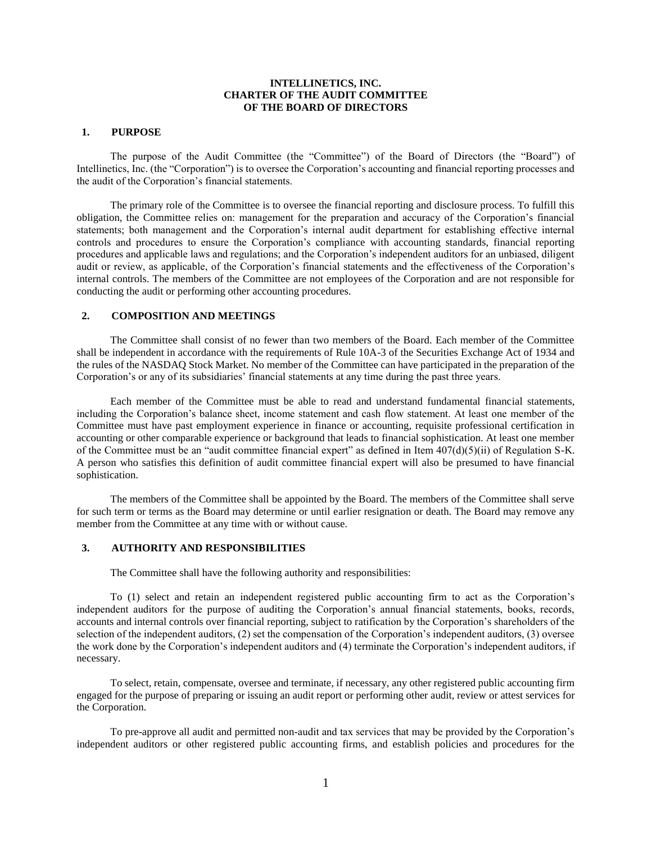### **INTELLINETICS, INC. CHARTER OF THE AUDIT COMMITTEE OF THE BOARD OF DIRECTORS**

#### **1. PURPOSE**

The purpose of the Audit Committee (the "Committee") of the Board of Directors (the "Board") of Intellinetics, Inc. (the "Corporation") is to oversee the Corporation's accounting and financial reporting processes and the audit of the Corporation's financial statements.

The primary role of the Committee is to oversee the financial reporting and disclosure process. To fulfill this obligation, the Committee relies on: management for the preparation and accuracy of the Corporation's financial statements; both management and the Corporation's internal audit department for establishing effective internal controls and procedures to ensure the Corporation's compliance with accounting standards, financial reporting procedures and applicable laws and regulations; and the Corporation's independent auditors for an unbiased, diligent audit or review, as applicable, of the Corporation's financial statements and the effectiveness of the Corporation's internal controls. The members of the Committee are not employees of the Corporation and are not responsible for conducting the audit or performing other accounting procedures.

# **2. COMPOSITION AND MEETINGS**

The Committee shall consist of no fewer than two members of the Board. Each member of the Committee shall be independent in accordance with the requirements of Rule 10A-3 of the Securities Exchange Act of 1934 and the rules of the NASDAQ Stock Market. No member of the Committee can have participated in the preparation of the Corporation's or any of its subsidiaries' financial statements at any time during the past three years.

Each member of the Committee must be able to read and understand fundamental financial statements, including the Corporation's balance sheet, income statement and cash flow statement. At least one member of the Committee must have past employment experience in finance or accounting, requisite professional certification in accounting or other comparable experience or background that leads to financial sophistication. At least one member of the Committee must be an "audit committee financial expert" as defined in Item 407(d)(5)(ii) of Regulation S-K. A person who satisfies this definition of audit committee financial expert will also be presumed to have financial sophistication.

The members of the Committee shall be appointed by the Board. The members of the Committee shall serve for such term or terms as the Board may determine or until earlier resignation or death. The Board may remove any member from the Committee at any time with or without cause.

#### **3. AUTHORITY AND RESPONSIBILITIES**

The Committee shall have the following authority and responsibilities:

To (1) select and retain an independent registered public accounting firm to act as the Corporation's independent auditors for the purpose of auditing the Corporation's annual financial statements, books, records, accounts and internal controls over financial reporting, subject to ratification by the Corporation's shareholders of the selection of the independent auditors, (2) set the compensation of the Corporation's independent auditors, (3) oversee the work done by the Corporation's independent auditors and (4) terminate the Corporation's independent auditors, if necessary.

To select, retain, compensate, oversee and terminate, if necessary, any other registered public accounting firm engaged for the purpose of preparing or issuing an audit report or performing other audit, review or attest services for the Corporation.

To pre-approve all audit and permitted non-audit and tax services that may be provided by the Corporation's independent auditors or other registered public accounting firms, and establish policies and procedures for the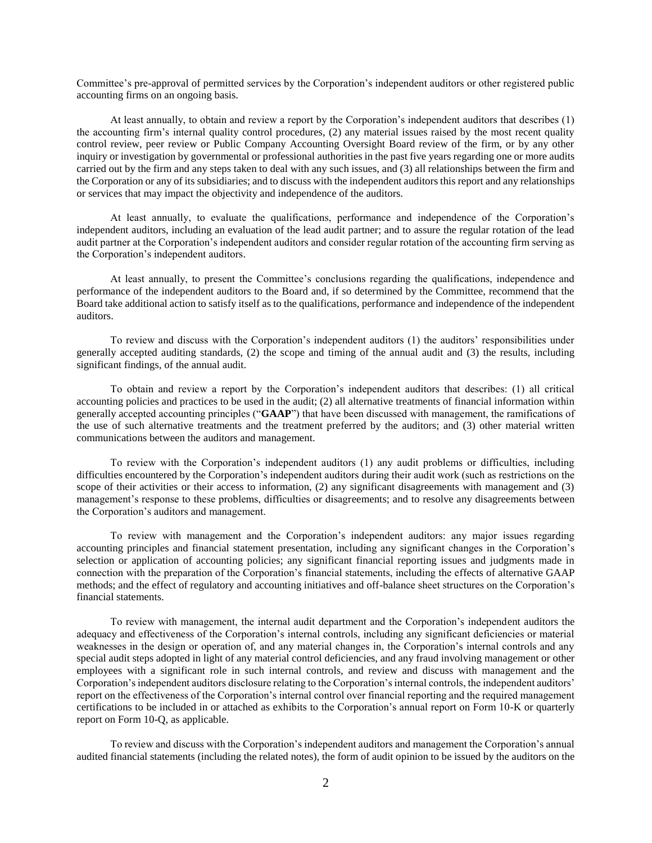Committee's pre-approval of permitted services by the Corporation's independent auditors or other registered public accounting firms on an ongoing basis.

At least annually, to obtain and review a report by the Corporation's independent auditors that describes (1) the accounting firm's internal quality control procedures, (2) any material issues raised by the most recent quality control review, peer review or Public Company Accounting Oversight Board review of the firm, or by any other inquiry or investigation by governmental or professional authorities in the past five years regarding one or more audits carried out by the firm and any steps taken to deal with any such issues, and (3) all relationships between the firm and the Corporation or any of its subsidiaries; and to discuss with the independent auditors this report and any relationships or services that may impact the objectivity and independence of the auditors.

At least annually, to evaluate the qualifications, performance and independence of the Corporation's independent auditors, including an evaluation of the lead audit partner; and to assure the regular rotation of the lead audit partner at the Corporation's independent auditors and consider regular rotation of the accounting firm serving as the Corporation's independent auditors.

At least annually, to present the Committee's conclusions regarding the qualifications, independence and performance of the independent auditors to the Board and, if so determined by the Committee, recommend that the Board take additional action to satisfy itself as to the qualifications, performance and independence of the independent auditors.

To review and discuss with the Corporation's independent auditors (1) the auditors' responsibilities under generally accepted auditing standards, (2) the scope and timing of the annual audit and (3) the results, including significant findings, of the annual audit.

To obtain and review a report by the Corporation's independent auditors that describes: (1) all critical accounting policies and practices to be used in the audit; (2) all alternative treatments of financial information within generally accepted accounting principles ("**GAAP**") that have been discussed with management, the ramifications of the use of such alternative treatments and the treatment preferred by the auditors; and (3) other material written communications between the auditors and management.

To review with the Corporation's independent auditors (1) any audit problems or difficulties, including difficulties encountered by the Corporation's independent auditors during their audit work (such as restrictions on the scope of their activities or their access to information, (2) any significant disagreements with management and (3) management's response to these problems, difficulties or disagreements; and to resolve any disagreements between the Corporation's auditors and management.

To review with management and the Corporation's independent auditors: any major issues regarding accounting principles and financial statement presentation, including any significant changes in the Corporation's selection or application of accounting policies; any significant financial reporting issues and judgments made in connection with the preparation of the Corporation's financial statements, including the effects of alternative GAAP methods; and the effect of regulatory and accounting initiatives and off-balance sheet structures on the Corporation's financial statements.

To review with management, the internal audit department and the Corporation's independent auditors the adequacy and effectiveness of the Corporation's internal controls, including any significant deficiencies or material weaknesses in the design or operation of, and any material changes in, the Corporation's internal controls and any special audit steps adopted in light of any material control deficiencies, and any fraud involving management or other employees with a significant role in such internal controls, and review and discuss with management and the Corporation's independent auditors disclosure relating to the Corporation's internal controls, the independent auditors' report on the effectiveness of the Corporation's internal control over financial reporting and the required management certifications to be included in or attached as exhibits to the Corporation's annual report on Form 10-K or quarterly report on Form 10-Q, as applicable.

To review and discuss with the Corporation's independent auditors and management the Corporation's annual audited financial statements (including the related notes), the form of audit opinion to be issued by the auditors on the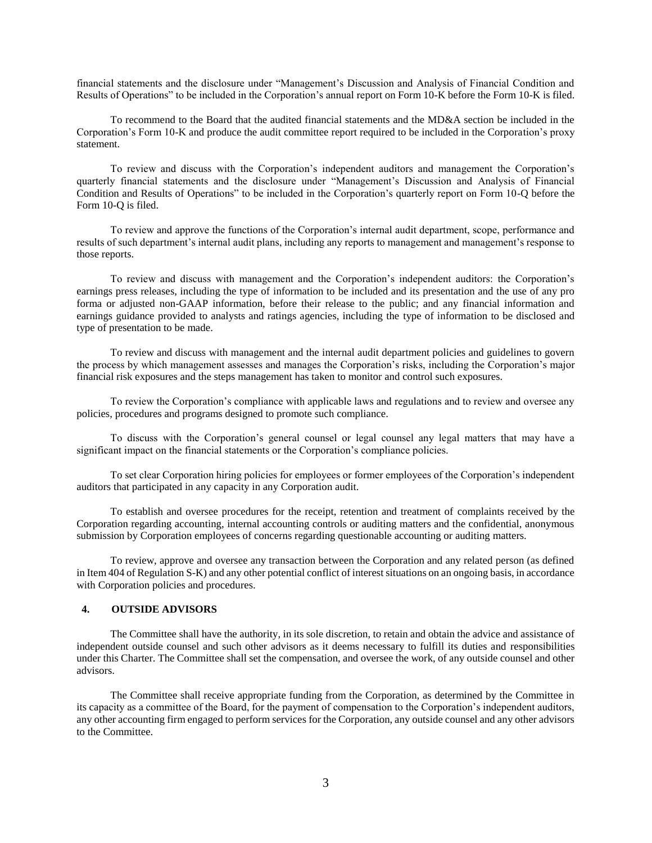financial statements and the disclosure under "Management's Discussion and Analysis of Financial Condition and Results of Operations" to be included in the Corporation's annual report on Form 10-K before the Form 10-K is filed.

To recommend to the Board that the audited financial statements and the MD&A section be included in the Corporation's Form 10-K and produce the audit committee report required to be included in the Corporation's proxy statement.

To review and discuss with the Corporation's independent auditors and management the Corporation's quarterly financial statements and the disclosure under "Management's Discussion and Analysis of Financial Condition and Results of Operations" to be included in the Corporation's quarterly report on Form 10-Q before the Form 10-Q is filed.

To review and approve the functions of the Corporation's internal audit department, scope, performance and results of such department's internal audit plans, including any reports to management and management's response to those reports.

To review and discuss with management and the Corporation's independent auditors: the Corporation's earnings press releases, including the type of information to be included and its presentation and the use of any pro forma or adjusted non-GAAP information, before their release to the public; and any financial information and earnings guidance provided to analysts and ratings agencies, including the type of information to be disclosed and type of presentation to be made.

To review and discuss with management and the internal audit department policies and guidelines to govern the process by which management assesses and manages the Corporation's risks, including the Corporation's major financial risk exposures and the steps management has taken to monitor and control such exposures.

To review the Corporation's compliance with applicable laws and regulations and to review and oversee any policies, procedures and programs designed to promote such compliance.

To discuss with the Corporation's general counsel or legal counsel any legal matters that may have a significant impact on the financial statements or the Corporation's compliance policies.

To set clear Corporation hiring policies for employees or former employees of the Corporation's independent auditors that participated in any capacity in any Corporation audit.

To establish and oversee procedures for the receipt, retention and treatment of complaints received by the Corporation regarding accounting, internal accounting controls or auditing matters and the confidential, anonymous submission by Corporation employees of concerns regarding questionable accounting or auditing matters.

To review, approve and oversee any transaction between the Corporation and any related person (as defined in Item 404 of Regulation S-K) and any other potential conflict of interest situations on an ongoing basis, in accordance with Corporation policies and procedures.

### **4. OUTSIDE ADVISORS**

The Committee shall have the authority, in its sole discretion, to retain and obtain the advice and assistance of independent outside counsel and such other advisors as it deems necessary to fulfill its duties and responsibilities under this Charter. The Committee shall set the compensation, and oversee the work, of any outside counsel and other advisors.

The Committee shall receive appropriate funding from the Corporation, as determined by the Committee in its capacity as a committee of the Board, for the payment of compensation to the Corporation's independent auditors, any other accounting firm engaged to perform services for the Corporation, any outside counsel and any other advisors to the Committee.